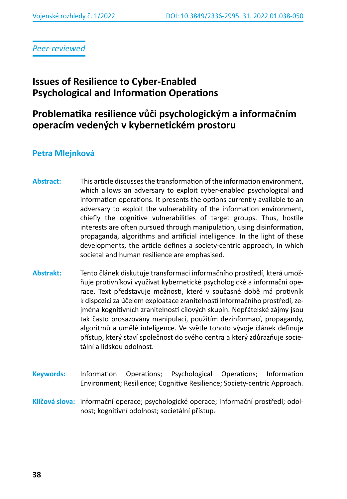*Peer-reviewed*

# **Issues of Resilience to Cyber-Enabled Psychological and Information Operations**

# **Problematika resilience vůči psychologickým a informačním operacím vedených v kybernetickém prostoru**

## **Petra Mlejnková**

- **Abstract:** This article discusses the transformation of the information environment, which allows an adversary to exploit cyber-enabled psychological and information operations. It presents the options currently available to an adversary to exploit the vulnerability of the information environment, chiefly the cognitive vulnerabilities of target groups. Thus, hostile interests are often pursued through manipulation, using disinformation, propaganda, algorithms and artificial intelligence. In the light of these developments, the article defines a society-centric approach, in which societal and human resilience are emphasised.
- **Abstrakt:** Tento článek diskutuje transformaci informačního prostředí, která umožňuje protivníkovi využívat kybernetické psychologické a informační operace. Text představuje možnosti, které v současné době má protivník k dispozici za účelem exploatace zranitelností informačního prostředí, zejména kognitivních zranitelností cílových skupin. Nepřátelské zájmy jsou tak často prosazovány manipulací, použitím dezinformací, propagandy, algoritmů a umělé inteligence. Ve světle tohoto vývoje článek definuje přístup, který staví společnost do svého centra a který zdůrazňuje societální a lidskou odolnost.
- **Keywords:** Information Operations; Psychological Operations; Information Environment; Resilience; Cognitive Resilience; Society-centric Approach.
- **Klíčová slova:** informační operace; psychologické operace; Informační prostředí; odolnost; kognitivní odolnost; societální přístup.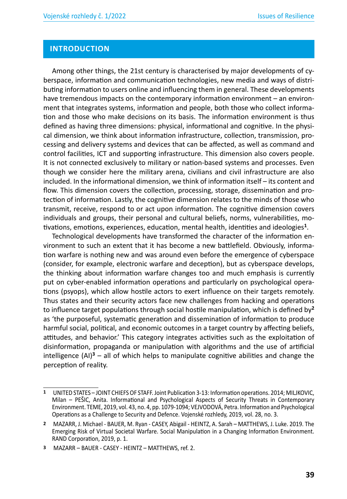### **INTRODUCTION**

Among other things, the 21st century is characterised by major developments of cyberspace, information and communication technologies, new media and ways of distributing information to users online and influencing them in general. These developments have tremendous impacts on the contemporary information environment – an environment that integrates systems, information and people, both those who collect information and those who make decisions on its basis. The information environment is thus defined as having three dimensions: physical, informational and cognitive. In the physical dimension, we think about information infrastructure, collection, transmission, processing and delivery systems and devices that can be affected, as well as command and control facilities, ICT and supporting infrastructure. This dimension also covers people. It is not connected exclusively to military or nation-based systems and processes. Even though we consider here the military arena, civilians and civil infrastructure are also included. In the informational dimension, we think of information itself – its content and flow. This dimension covers the collection, processing, storage, dissemination and protection of information. Lastly, the cognitive dimension relates to the minds of those who transmit, receive, respond to or act upon information. The cognitive dimension covers individuals and groups, their personal and cultural beliefs, norms, vulnerabilities, motivations, emotions, experiences, education, mental health, identities and ideologies**<sup>1</sup>**.

Technological developments have transformed the character of the information environment to such an extent that it has become a new battlefield. Obviously, information warfare is nothing new and was around even before the emergence of cyberspace (consider, for example, electronic warfare and deception), but as cyberspace develops, the thinking about information warfare changes too and much emphasis is currently put on cyber-enabled information operations and particularly on psychological operations (psyops), which allow hostile actors to exert influence on their targets remotely. Thus states and their security actors face new challenges from hacking and operations to influence target populations through social hostile manipulation, which is defined by**<sup>2</sup>** as 'the purposeful, systematic generation and dissemination of information to produce harmful social, political, and economic outcomes in a target country by affecting beliefs, attitudes, and behavior.' This category integrates activities such as the exploitation of disinformation, propaganda or manipulation with algorithms and the use of artificial intelligence (AI)**<sup>3</sup>** – all of which helps to manipulate cognitive abilities and change the perception of reality.

**<sup>1</sup>** UNITED STATES – JOINT CHIEFS OF STAFF. Joint Publication 3-13: Information operations. 2014; MILJKOVIC, Milan – PEŠIC, Anita. Informational and Psychological Aspects of Security Threats in Contemporary Environment. TEME, 2019, vol. 43, no. 4, pp. 1079-1094; VEJVODOVÁ, Petra. Information and Psychological Operations as a Challenge to Security and Defence. Vojenské rozhledy, 2019, vol. 28, no. 3.

**<sup>2</sup>** MAZARR, J. Michael - BAUER, M. Ryan - CASEY, Abigail - HEINTZ, A. Sarah – MATTHEWS, J. Luke. 2019. The Emerging Risk of Virtual Societal Warfare. Social Manipulation in a Changing Information Environment. RAND Corporation, 2019, p. 1.

**<sup>3</sup>** MAZARR – BAUER - CASEY - HEINTZ – MATTHEWS, ref. 2.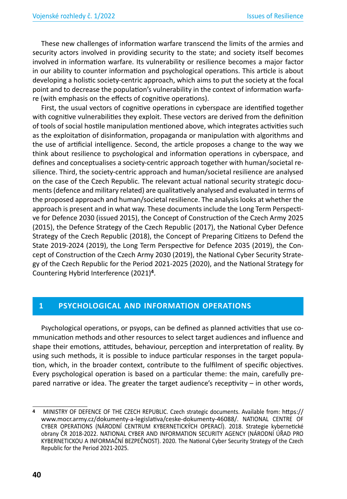These new challenges of information warfare transcend the limits of the armies and security actors involved in providing security to the state; and society itself becomes involved in information warfare. Its vulnerability or resilience becomes a major factor in our ability to counter information and psychological operations. This article is about developing a holistic society-centric approach, which aims to put the society at the focal point and to decrease the population's vulnerability in the context of information warfare (with emphasis on the effects of cognitive operations).

First, the usual vectors of cognitive operations in cyberspace are identified together with cognitive vulnerabilities they exploit. These vectors are derived from the definition of tools of social hostile manipulation mentioned above, which integrates activities such as the exploitation of disinformation, propaganda or manipulation with algorithms and the use of artificial intelligence. Second, the article proposes a change to the way we think about resilience to psychological and information operations in cyberspace, and defines and conceptualises a society-centric approach together with human/societal resilience. Third, the society-centric approach and human/societal resilience are analysed on the case of the Czech Republic. The relevant actual national security strategic documents (defence and military related) are qualitatively analysed and evaluated in terms of the proposed approach and human/societal resilience. The analysis looks at whether the approach is present and in what way. These documents include the Long Term Perspective for Defence 2030 (issued 2015), the Concept of Construction of the Czech Army 2025 (2015), the Defence Strategy of the Czech Republic (2017), the National Cyber Defence Strategy of the Czech Republic (2018), the Concept of Preparing Citizens to Defend the State 2019-2024 (2019), the Long Term Perspective for Defence 2035 (2019), the Concept of Construction of the Czech Army 2030 (2019), the National Cyber Security Strategy of the Czech Republic for the Period 2021-2025 (2020), and the National Strategy for Countering Hybrid Interference (2021)**<sup>4</sup>**.

### **1 PSYCHOLOGICAL AND INFORMATION OPERATIONS**

Psychological operations, or psyops, can be defined as planned activities that use communication methods and other resources to select target audiences and influence and shape their emotions, attitudes, behaviour, perception and interpretation of reality. By using such methods, it is possible to induce particular responses in the target population, which, in the broader context, contribute to the fulfilment of specific objectives. Every psychological operation is based on a particular theme: the main, carefully prepared narrative or idea. The greater the target audience's receptivity – in other words,

**<sup>4</sup>** MINISTRY OF DEFENCE OF THE CZECH REPUBLIC. Czech strategic documents. Available from: https:// www.mocr.army.cz/dokumenty-a-legislativa/ceske-dokumenty-46088/. NATIONAL CENTRE OF CYBER OPERATIONS (NÁRODNÍ CENTRUM KYBERNETICKÝCH OPERACÍ). 2018. Strategie kybernetické obrany ČR 2018-2022. NATIONAL CYBER AND INFORMATION SECURITY AGENCY (NÁRODNÍ ÚŘAD PRO KYBERNETICKOU A INFORMAČNÍ BEZPEČNOST). 2020. The National Cyber Security Strategy of the Czech Republic for the Period 2021-2025.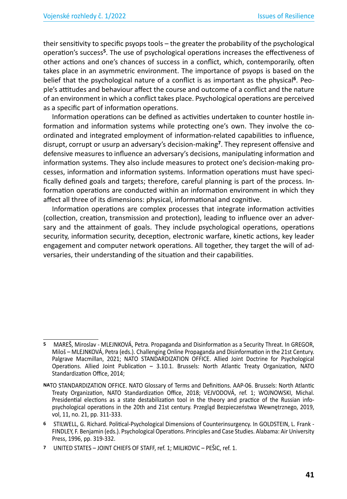their sensitivity to specific psyops tools – the greater the probability of the psychological operation's success**<sup>5</sup>**. The use of psychological operations increases the effectiveness of other actions and one's chances of success in a conflict, which, contemporarily, often takes place in an asymmetric environment. The importance of psyops is based on the belief that the psychological nature of a conflict is as important as the physical**<sup>6</sup>**. People's attitudes and behaviour affect the course and outcome of a conflict and the nature of an environment in which a conflict takes place. Psychological operations are perceived as a specific part of information operations.

Information operations can be defined as activities undertaken to counter hostile information and information systems while protecting one's own. They involve the coordinated and integrated employment of information-related capabilities to influence, disrupt, corrupt or usurp an adversary's decision-making**<sup>7</sup>**. They represent offensive and defensive measures to influence an adversary's decisions, manipulating information and information systems. They also include measures to protect one's decision-making processes, information and information systems. Information operations must have specifically defined goals and targets; therefore, careful planning is part of the process. Information operations are conducted within an information environment in which they affect all three of its dimensions: physical, informational and cognitive.

Information operations are complex processes that integrate information activities (collection, creation, transmission and protection), leading to influence over an adversary and the attainment of goals. They include psychological operations, operations security, information security, deception, electronic warfare, kinetic actions, key leader engagement and computer network operations. All together, they target the will of adversaries, their understanding of the situation and their capabilities.

**<sup>5</sup>** MAREŠ, Miroslav - MLEJNKOVÁ, Petra. Propaganda and Disinformation as a Security Threat. In GREGOR, Miloš – MLEJNKOVÁ, Petra (eds.). Challenging Online Propaganda and Disinformation in the 21st Century. Palgrave Macmillan, 2021; NATO STANDARDIZATION OFFICE. Allied Joint Doctrine for Psychological Operations. Allied Joint Publication – 3.10.1. Brussels: North Atlantic Treaty Organization, NATO Standardization Office, 2014;

**NA**TO STANDARDIZATION OFFICE. NATO Glossary of Terms and Definitions. AAP-06. Brussels: North Atlantic Treaty Organization, NATO Standardization Office, 2018; VEJVODOVÁ, ref. 1; WOJNOWSKI, Michal. Presidential elections as a state destabilization tool in the theory and practice of the Russian infopsychological operations in the 20th and 21st century. Przegląd Bezpieczeństwa Wewnętrznego, 2019, vol, 11, no. 21, pp. 311-333.

**<sup>6</sup>** STILWELL, G. Richard. Political-Psychological Dimensions of Counterinsurgency. In GOLDSTEIN, L. Frank - FINDLEY, F. Benjamin (eds.). Psychological Operations. Principles and Case Studies. Alabama: Air University Press, 1996, pp. 319-332.

**<sup>7</sup>** UNITED STATES – JOINT CHIEFS OF STAFF, ref. 1; MILJKOVIC – PEŠIC, ref. 1.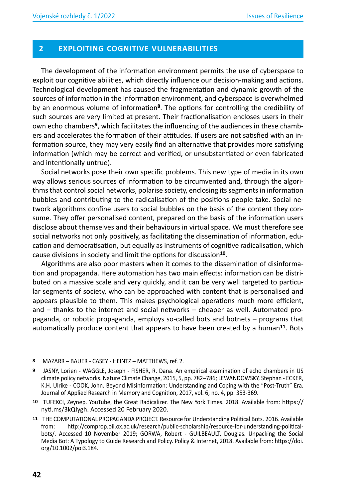#### **2 EXPLOITING COGNITIVE VULNERABILITIES**

The development of the information environment permits the use of cyberspace to exploit our cognitive abilities, which directly influence our decision-making and actions. Technological development has caused the fragmentation and dynamic growth of the sources of information in the information environment, and cyberspace is overwhelmed by an enormous volume of information**<sup>8</sup>**. The options for controlling the credibility of such sources are very limited at present. Their fractionalisation encloses users in their own echo chambers**9**, which facilitates the influencing of the audiences in these chambers and accelerates the formation of their attitudes. If users are not satisfied with an information source, they may very easily find an alternative that provides more satisfying information (which may be correct and verified, or unsubstantiated or even fabricated and intentionally untrue).

Social networks pose their own specific problems. This new type of media in its own way allows serious sources of information to be circumvented and, through the algorithms that control social networks, polarise society, enclosing its segments in information bubbles and contributing to the radicalisation of the positions people take. Social network algorithms confine users to social bubbles on the basis of the content they consume. They offer personalised content, prepared on the basis of the information users disclose about themselves and their behaviours in virtual space. We must therefore see social networks not only positively, as facilitating the dissemination of information, education and democratisation, but equally as instruments of cognitive radicalisation, which cause divisions in society and limit the options for discussion**<sup>10</sup>**.

Algorithms are also poor masters when it comes to the dissemination of disinformation and propaganda. Here automation has two main effects: information can be distributed on a massive scale and very quickly, and it can be very well targeted to particular segments of society, who can be approached with content that is personalised and appears plausible to them. This makes psychological operations much more efficient, and – thanks to the internet and social networks – cheaper as well. Automated propaganda, or robotic propaganda, employs so-called bots and botnets – programs that automatically produce content that appears to have been created by a human**<sup>11</sup>**. Bots

**<sup>8</sup>** MAZARR – BAUER - CASEY - HEINTZ – MATTHEWS, ref. 2.

**<sup>9</sup>** JASNY, Lorien - WAGGLE, Joseph - FISHER, R. Dana. An empirical examination of echo chambers in US climate policy networks. Nature Climate Change, 2015, 5, pp. 782–786; LEWANDOWSKY, Stephan - ECKER, K.H. Ulrike - COOK, John. Beyond Misinformation: Understanding and Coping with the "Post-Truth" Era. Journal of Applied Research in Memory and Cognition, 2017, vol. 6, no. 4, pp. 353-369.

**<sup>10</sup>** TUFEKCI, Zeynep. YouTube, the Great Radicalizer. The New York Times. 2018. Available from: https:// nyti.ms/3kQIygh. Accessed 20 February 2020.

**<sup>11</sup>** THE COMPUTATIONAL PROPAGANDA PROJECT. Resource for Understanding Political Bots. 2016. Available from: http://comprop.oii.ox.ac.uk/research/public-scholarship/resource-for-understanding-politicalbots/. Accessed 10 November 2019; GORWA, Robert - GUILBEAULT, Douglas. Unpacking the Social Media Bot: A Typology to Guide Research and Policy. Policy & Internet, 2018. Available from: https://doi. org/10.1002/poi3.184.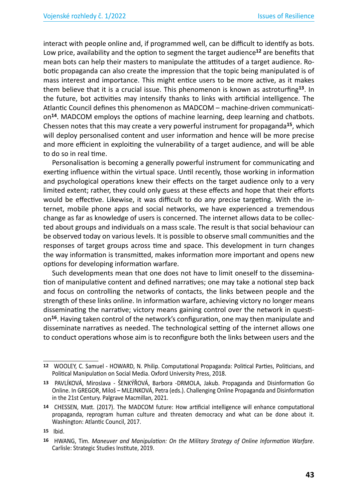interact with people online and, if programmed well, can be difficult to identify as bots. Low price, availability and the option to segment the target audience**<sup>12</sup>** are benefits that mean bots can help their masters to manipulate the attitudes of a target audience. Robotic propaganda can also create the impression that the topic being manipulated is of mass interest and importance. This might entice users to be more active, as it makes them believe that it is a crucial issue. This phenomenon is known as astroturfing**<sup>13</sup>**. In the future, bot activities may intensify thanks to links with artificial intelligence. The Atlantic Council defines this phenomenon as MADCOM – machine-driven communication**<sup>14</sup>**. MADCOM employs the options of machine learning, deep learning and chatbots. Chessen notes that this may create a very powerful instrument for propaganda**<sup>15</sup>**, which will deploy personalised content and user information and hence will be more precise and more efficient in exploiting the vulnerability of a target audience, and will be able to do so in real time.

Personalisation is becoming a generally powerful instrument for communicating and exerting influence within the virtual space. Until recently, those working in information and psychological operations knew their effects on the target audience only to a very limited extent; rather, they could only guess at these effects and hope that their efforts would be effective. Likewise, it was difficult to do any precise targeting. With the internet, mobile phone apps and social networks, we have experienced a tremendous change as far as knowledge of users is concerned. The internet allows data to be collected about groups and individuals on a mass scale. The result is that social behaviour can be observed today on various levels. It is possible to observe small communities and the responses of target groups across time and space. This development in turn changes the way information is transmitted, makes information more important and opens new options for developing information warfare.

Such developments mean that one does not have to limit oneself to the dissemination of manipulative content and defined narratives; one may take a notional step back and focus on controlling the networks of contacts, the links between people and the strength of these links online. In information warfare, achieving victory no longer means disseminating the narrative; victory means gaining control over the network in question**<sup>16</sup>**. Having taken control of the network's configuration, one may then manipulate and disseminate narratives as needed. The technological setting of the internet allows one to conduct operations whose aim is to reconfigure both the links between users and the

**<sup>12</sup>** WOOLEY, C. Samuel - HOWARD, N. Philip. Computational Propaganda: Political Parties, Politicians, and Political Manipulation on Social Media. Oxford University Press, 2018.

**<sup>13</sup>** PAVLÍKOVÁ, Miroslava - ŠENKÝŘOVÁ, Barbora -DRMOLA, Jakub. Propaganda and Disinformation Go Online. In GREGOR, Miloš – MLEJNKOVÁ, Petra (eds.). Challenging Online Propaganda and Disinformation in the 21st Century. Palgrave Macmillan, 2021.

**<sup>14</sup>** CHESSEN, Matt. (2017). The MADCOM future: How artificial intelligence will enhance computational propaganda, reprogram human culture and threaten democracy and what can be done about it. Washington: Atlantic Council, 2017.

**<sup>15</sup>** Ibid.

**<sup>16</sup>** HWANG, Tim. *Maneuver and Manipulation: On the Military Strategy of Online Information Warfare*. Carlisle: Strategic Studies Institute, 2019.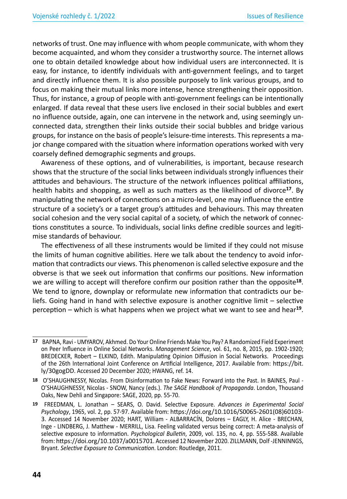networks of trust. One may influence with whom people communicate, with whom they become acquainted, and whom they consider a trustworthy source. The internet allows one to obtain detailed knowledge about how individual users are interconnected. It is easy, for instance, to identify individuals with anti-government feelings, and to target and directly influence them. It is also possible purposely to link various groups, and to focus on making their mutual links more intense, hence strengthening their opposition. Thus, for instance, a group of people with anti-government feelings can be intentionally enlarged. If data reveal that these users live enclosed in their social bubbles and exert no influence outside, again, one can intervene in the network and, using seemingly unconnected data, strengthen their links outside their social bubbles and bridge various groups, for instance on the basis of people's leisure-time interests. This represents a major change compared with the situation where information operations worked with very coarsely defined demographic segments and groups.

Awareness of these options, and of vulnerabilities, is important, because research shows that the structure of the social links between individuals strongly influences their attitudes and behaviours. The structure of the network influences political affiliations, health habits and shopping, as well as such matters as the likelihood of divorce**<sup>17</sup>**. By manipulating the network of connections on a micro-level, one may influence the entire structure of a society's or a target group's attitudes and behaviours. This may threaten social cohesion and the very social capital of a society, of which the network of connections constitutes a source. To individuals, social links define credible sources and legitimise standards of behaviour.

The effectiveness of all these instruments would be limited if they could not misuse the limits of human cognitive abilities. Here we talk about the tendency to avoid information that contradicts our views. This phenomenon is called selective exposure and the obverse is that we seek out information that confirms our positions. New information we are willing to accept will therefore confirm our position rather than the opposite**<sup>18</sup>**. We tend to ignore, downplay or reformulate new information that contradicts our beliefs. Going hand in hand with selective exposure is another cognitive limit – selective perception – which is what happens when we project what we want to see and hear**<sup>19</sup>**.

**<sup>17</sup>** BAPNA, Ravi - UMYAROV, Akhmed. Do Your Online Friends Make You Pay? A Randomized Field Experiment on Peer Influence in Online Social Networks. *Management Science*, vol. 61, no. 8, 2015, pp. 1902-1920; BREDECKER, Robert – ELKIND, Edith. Manipulating Opinion Diffusion in Social Networks. Proceedings of the 26th International Joint Conference on Artificial Intelligence, 2017. Available from: https://bit. ly/30gogDD. Accessed 20 December 2020; HWANG, ref. 14.

**<sup>18</sup>** O'SHAUGHNESSY, Nicolas. From Disinformation to Fake News: Forward into the Past. In BAINES, Paul - O'SHAUGHNESSY, Nicolas - SNOW, Nancy (eds.). *The SAGE Handbook of Propaganda*. London, Thousand Oaks, New Dehli and Singapore: SAGE, 2020, pp. 55-70.

**<sup>19</sup>** FREEDMAN, L. Jonathan – SEARS, O. David. Selective Exposure. *Advances in Experimental Social Psychology*, 1965, vol. 2, pp. 57-97. Available from: https://doi.org/10.1016/S0065-2601(08)60103- 3. Accessed 14 November 2020; HART, William - ALBARRACÍN, Dolores – EAGLY, H. Alice - BRECHAN, Inge - LINDBERG, J. Matthew - MERRILL, Lisa. Feeling validated versus being correct: A meta-analysis of selective exposure to information. *Psychological Bulletin*, 2009, vol. 135, no. 4, pp. 555-588. Available from: https://doi.org/10.1037/a0015701. Accessed 12 November 2020. ZILLMANN, Dolf -JENNINNGS, Bryant. *Selective Exposure to Communication*. London: Routledge, 2011.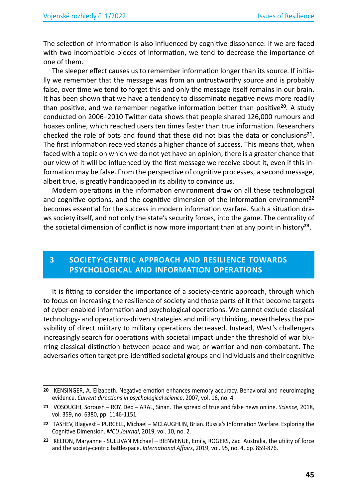The selection of information is also influenced by cognitive dissonance: if we are faced with two incompatible pieces of information, we tend to decrease the importance of one of them.

The sleeper effect causes us to remember information longer than its source. If initially we remember that the message was from an untrustworthy source and is probably false, over time we tend to forget this and only the message itself remains in our brain. It has been shown that we have a tendency to disseminate negative news more readily than positive, and we remember negative information better than positive**<sup>20</sup>**. A study conducted on 2006–2010 Twitter data shows that people shared 126,000 rumours and hoaxes online, which reached users ten times faster than true information. Researchers checked the role of bots and found that these did not bias the data or conclusions**<sup>21</sup>**. The first information received stands a higher chance of success. This means that, when faced with a topic on which we do not yet have an opinion, there is a greater chance that our view of it will be influenced by the first message we receive about it, even if this information may be false. From the perspective of cognitive processes, a second message, albeit true, is greatly handicapped in its ability to convince us.

Modern operations in the information environment draw on all these technological and cognitive options, and the cognitive dimension of the information environment**<sup>22</sup>** becomes essential for the success in modern information warfare. Such a situation draws society itself, and not only the state's security forces, into the game. The centrality of the societal dimension of conflict is now more important than at any point in history**<sup>23</sup>**.

### **3 SOCIETY-CENTRIC APPROACH AND RESILIENCE TOWARDS PSYCHOLOGICAL AND INFORMATION OPERATIONS**

It is fitting to consider the importance of a society-centric approach, through which to focus on increasing the resilience of society and those parts of it that become targets of cyber-enabled information and psychological operations. We cannot exclude classical technology- and operations-driven strategies and military thinking, nevertheless the possibility of direct military to military operations decreased. Instead, West's challengers increasingly search for operations with societal impact under the threshold of war blurring classical distinction between peace and war, or warrior and non-combatant. The adversaries often target pre-identified societal groups and individuals and their cognitive

**<sup>20</sup>** KENSINGER, A. Elizabeth. Negative emotion enhances memory accuracy. Behavioral and neuroimaging evidence. *Current directions in psychological science*, 2007, vol. 16, no. 4.

**<sup>21</sup>** VOSOUGHI, Soroush – ROY, Deb – ARAL, Sinan. The spread of true and false news online. *Science*, 2018, vol. 359, no. 6380, pp. 1146-1151.

**<sup>22</sup>** TASHEV, Blagvest – PURCELL, Michael – MCLAUGHLIN, Brian. Russia's Information Warfare. Exploring the Cognitive Dimension. *MCU Journal*, 2019, vol. 10, no. 2.

**<sup>23</sup>** KELTON, Maryanne - SULLIVAN Michael – BIENVENUE, Emily, ROGERS, Zac. Australia, the utility of force and the society-centric battlespace. *International Affairs*, 2019, vol. 95, no. 4, pp. 859-876.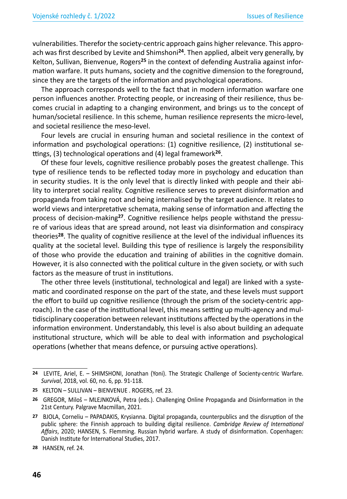vulnerabilities. Therefor the society-centric approach gains higher relevance. This approach was first described by Levite and Shimshoni**<sup>24</sup>**. Then applied, albeit very generally, by Kelton, Sullivan, Bienvenue, Rogers**25** in the context of defending Australia against information warfare. It puts humans, society and the cognitive dimension to the foreground, since they are the targets of the information and psychological operations.

The approach corresponds well to the fact that in modern information warfare one person influences another. Protecting people, or increasing of their resilience, thus becomes crucial in adapting to a changing environment, and brings us to the concept of human/societal resilience. In this scheme, human resilience represents the micro-level, and societal resilience the meso-level.

Four levels are crucial in ensuring human and societal resilience in the context of information and psychological operations: (1) cognitive resilience, (2) institutional settings, (3) technological operations and (4) legal framework**<sup>26</sup>**.

Of these four levels, cognitive resilience probably poses the greatest challenge. This type of resilience tends to be reflected today more in psychology and education than in security studies. It is the only level that is directly linked with people and their ability to interpret social reality. Cognitive resilience serves to prevent disinformation and propaganda from taking root and being internalised by the target audience. It relates to world views and interpretative schemata, making sense of information and affecting the process of decision-making**27**. Cognitive resilience helps people withstand the pressure of various ideas that are spread around, not least via disinformation and conspiracy theories**<sup>28</sup>**. The quality of cognitive resilience at the level of the individual influences its quality at the societal level. Building this type of resilience is largely the responsibility of those who provide the education and training of abilities in the cognitive domain. However, it is also connected with the political culture in the given society, or with such factors as the measure of trust in institutions.

The other three levels (institutional, technological and legal) are linked with a systematic and coordinated response on the part of the state, and these levels must support the effort to build up cognitive resilience (through the prism of the society-centric approach). In the case of the institutional level, this means setting up multi-agency and multidisciplinary cooperation between relevant institutions affected by the operations in the information environment. Understandably, this level is also about building an adequate institutional structure, which will be able to deal with information and psychological operations (whether that means defence, or pursuing active operations).

**<sup>24</sup>** LEVITE, Ariel, E. – SHIMSHONI, Jonathan (Yoni). The Strategic Challenge of Socienty-centric Warfare. *Survival*, 2018, vol. 60, no. 6, pp. 91-118.

**<sup>25</sup>** KELTON – SULLIVAN – BIENVENUE . ROGERS, ref. 23.

**<sup>26</sup>** GREGOR, Miloš – MLEJNKOVÁ, Petra (eds.). Challenging Online Propaganda and Disinformation in the 21st Century. Palgrave Macmillan, 2021.

**<sup>27</sup>** BJOLA, Corneliu – PAPADAKIS, Krysianna. Digital propaganda, counterpublics and the disruption of the public sphere: the Finnish approach to building digital resilience. *Cambridge Review of International Affairs*, 2020; HANSEN, S. Flemming. Russian hybrid warfare. A study of disinformation. Copenhagen: Danish Institute for International Studies, 2017.

**<sup>28</sup>** HANSEN, ref. 24.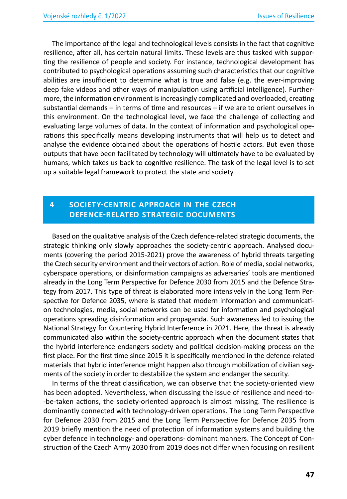The importance of the legal and technological levels consists in the fact that cognitive resilience, after all, has certain natural limits. These levels are thus tasked with supporting the resilience of people and society. For instance, technological development has contributed to psychological operations assuming such characteristics that our cognitive abilities are insufficient to determine what is true and false (e.g. the ever-improving deep fake videos and other ways of manipulation using artificial intelligence). Furthermore, the information environment is increasingly complicated and overloaded, creating substantial demands – in terms of time and resources – if we are to orient ourselves in this environment. On the technological level, we face the challenge of collecting and evaluating large volumes of data. In the context of information and psychological operations this specifically means developing instruments that will help us to detect and analyse the evidence obtained about the operations of hostile actors. But even those outputs that have been facilitated by technology will ultimately have to be evaluated by humans, which takes us back to cognitive resilience. The task of the legal level is to set up a suitable legal framework to protect the state and society.

### **4 SOCIETY-CENTRIC APPROACH IN THE CZECH DEFENCE-RELATED STRATEGIC DOCUMENTS**

Based on the qualitative analysis of the Czech defence-related strategic documents, the strategic thinking only slowly approaches the society-centric approach. Analysed documents (covering the period 2015-2021) prove the awareness of hybrid threats targeting the Czech security environment and their vectors of action. Role of media, social networks, cyberspace operations, or disinformation campaigns as adversaries' tools are mentioned already in the Long Term Perspective for Defence 2030 from 2015 and the Defence Strategy from 2017. This type of threat is elaborated more intensively in the Long Term Perspective for Defence 2035, where is stated that modern information and communication technologies, media, social networks can be used for information and psychological operations spreading disinformation and propaganda. Such awareness led to issuing the National Strategy for Countering Hybrid Interference in 2021. Here, the threat is already communicated also within the society-centric approach when the document states that the hybrid interference endangers society and political decision-making process on the first place. For the first time since 2015 it is specifically mentioned in the defence-related materials that hybrid interference might happen also through mobilization of civilian segments of the society in order to destabilize the system and endanger the security.

In terms of the threat classification, we can observe that the society-oriented view has been adopted. Nevertheless, when discussing the issue of resilience and need-to- -be-taken actions, the society-oriented approach is almost missing. The resilience is dominantly connected with technology-driven operations. The Long Term Perspective for Defence 2030 from 2015 and the Long Term Perspective for Defence 2035 from 2019 briefly mention the need of protection of information systems and building the cyber defence in technology- and operations- dominant manners. The Concept of Construction of the Czech Army 2030 from 2019 does not differ when focusing on resilient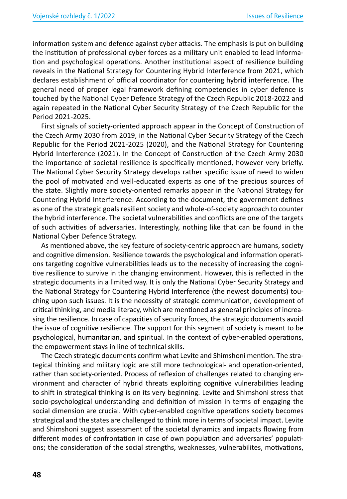information system and defence against cyber attacks. The emphasis is put on building the institution of professional cyber forces as a military unit enabled to lead information and psychological operations. Another institutional aspect of resilience building reveals in the National Strategy for Countering Hybrid Interference from 2021, which declares establishment of official coordinator for countering hybrid interference. The general need of proper legal framework defining competencies in cyber defence is touched by the National Cyber Defence Strategy of the Czech Republic 2018-2022 and again repeated in the National Cyber Security Strategy of the Czech Republic for the Period 2021-2025.

First signals of society-oriented approach appear in the Concept of Construction of the Czech Army 2030 from 2019, in the National Cyber Security Strategy of the Czech Republic for the Period 2021-2025 (2020), and the National Strategy for Countering Hybrid Interference (2021). In the Concept of Construction of the Czech Army 2030 the importance of societal resilience is specifically mentioned, however very briefly. The National Cyber Security Strategy develops rather specific issue of need to widen the pool of motivated and well-educated experts as one of the precious sources of the state. Slightly more society-oriented remarks appear in the National Strategy for Countering Hybrid Interference. According to the document, the government defines as one of the strategic goals resilient society and whole-of-society approach to counter the hybrid interference. The societal vulnerabilities and conflicts are one of the targets of such activities of adversaries. Interestingly, nothing like that can be found in the National Cyber Defence Strategy.

As mentioned above, the key feature of society-centric approach are humans, society and cognitive dimension. Resilience towards the psychological and information operations targeting cognitive vulnerabilities leads us to the necessity of increasing the cognitive resilience to survive in the changing environment. However, this is reflected in the strategic documents in a limited way. It is only the National Cyber Security Strategy and the National Strategy for Countering Hybrid Interference (the newest documents) touching upon such issues. It is the necessity of strategic communication, development of critical thinking, and media literacy, which are mentioned as general principles of increasing the resilience. In case of capacities of security forces, the strategic documents avoid the issue of cognitive resilience. The support for this segment of society is meant to be psychological, humanitarian, and spiritual. In the context of cyber-enabled operations, the empowerment stays in line of technical skills.

The Czech strategic documents confirm what Levite and Shimshoni mention. The strategical thinking and military logic are still more technological- and operation-oriented, rather than society-oriented. Process of reflexion of challenges related to changing environment and character of hybrid threats exploiting cognitive vulnerabilities leading to shift in strategical thinking is on its very beginning. Levite and Shimshoni stress that socio-psychological understanding and definition of mission in terms of engaging the social dimension are crucial. With cyber-enabled cognitive operations society becomes strategical and the states are challenged to think more in terms of societal impact. Levite and Shimshoni suggest assessment of the societal dynamics and impacts flowing from different modes of confrontation in case of own population and adversaries' populations; the consideration of the social strengths, weaknesses, vulnerabilites, motivations,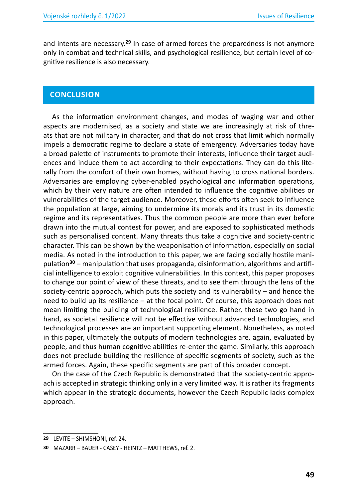and intents are necessary.**<sup>29</sup>** In case of armed forces the preparedness is not anymore only in combat and technical skills, and psychological resilience, but certain level of cognitive resilience is also necessary.

#### **CONCLUSION**

As the information environment changes, and modes of waging war and other aspects are modernised, as a society and state we are increasingly at risk of threats that are not military in character, and that do not cross that limit which normally impels a democratic regime to declare a state of emergency. Adversaries today have a broad palette of instruments to promote their interests, influence their target audiences and induce them to act according to their expectations. They can do this literally from the comfort of their own homes, without having to cross national borders. Adversaries are employing cyber-enabled psychological and information operations, which by their very nature are often intended to influence the cognitive abilities or vulnerabilities of the target audience. Moreover, these efforts often seek to influence the population at large, aiming to undermine its morals and its trust in its domestic regime and its representatives. Thus the common people are more than ever before drawn into the mutual contest for power, and are exposed to sophisticated methods such as personalised content. Many threats thus take a cognitive and society-centric character. This can be shown by the weaponisation of information, especially on social media. As noted in the introduction to this paper, we are facing socially hostile manipulation**<sup>30</sup>** – manipulation that uses propaganda, disinformation, algorithms and artificial intelligence to exploit cognitive vulnerabilities. In this context, this paper proposes to change our point of view of these threats, and to see them through the lens of the society-centric approach, which puts the society and its vulnerability – and hence the need to build up its resilience – at the focal point. Of course, this approach does not mean limiting the building of technological resilience. Rather, these two go hand in hand, as societal resilience will not be effective without advanced technologies, and technological processes are an important supporting element. Nonetheless, as noted in this paper, ultimately the outputs of modern technologies are, again, evaluated by people, and thus human cognitive abilities re-enter the game. Similarly, this approach does not preclude building the resilience of specific segments of society, such as the armed forces. Again, these specific segments are part of this broader concept.

On the case of the Czech Republic is demonstrated that the society-centric approach is accepted in strategic thinking only in a very limited way. It is rather its fragments which appear in the strategic documents, however the Czech Republic lacks complex approach.

**<sup>29</sup>** LEVITE – SHIMSHONI, ref. 24.

**<sup>30</sup>** MAZARR – BAUER - CASEY - HEINTZ – MATTHEWS, ref. 2.